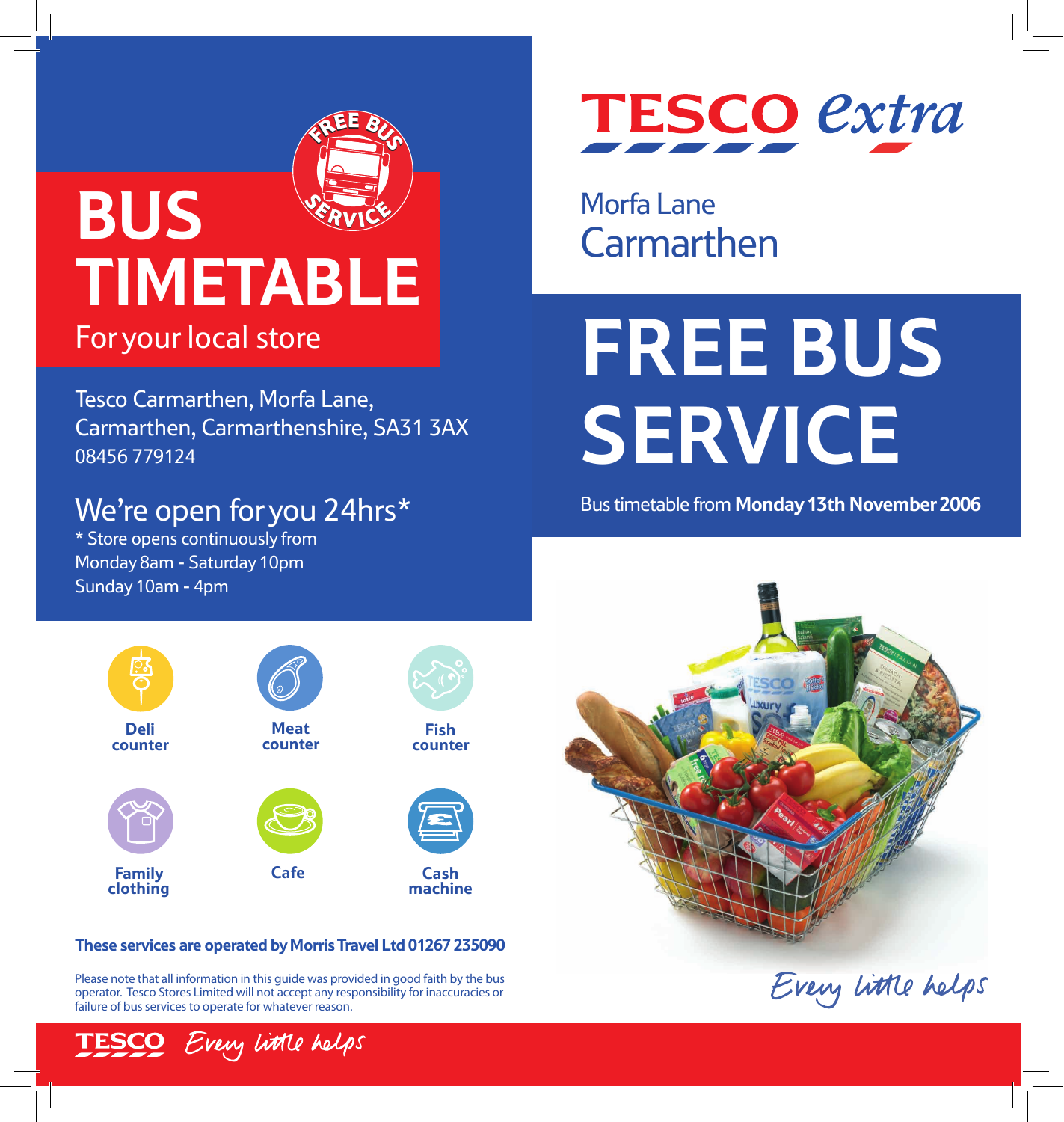### <sup>F</sup>RE<sup>E</sup> <sup>B</sup><sup>U</sup> R $\boldsymbol{\omega}$ EE BUS **SERVICE** ERVI **BUS**<br>TIMETABLE

Tesco Carmarthen, Morfa Lane, Carmarthen, Carmarthenshire, SA31 3AX 08456 779124

### We're open for you 24hrs\*

\* Store opens continuously from Monday 8am - Saturday 10pm Sunday 10am - 4pm



Morfa Lane **Carmarthen** 

# For your local store **FREE BUS SERVICE**

Bus timetable from **Monday 13th November 2006**



#### **These services are operated byMorris Travel Ltd 01267 235090**

Please note that all information in this guide was provided in good faith by the bus operator. Tesco Stores Limited will not accept any responsibility for inaccuracies or failure of bus services to operate for whatever reason.

Every little helps



Every little helps